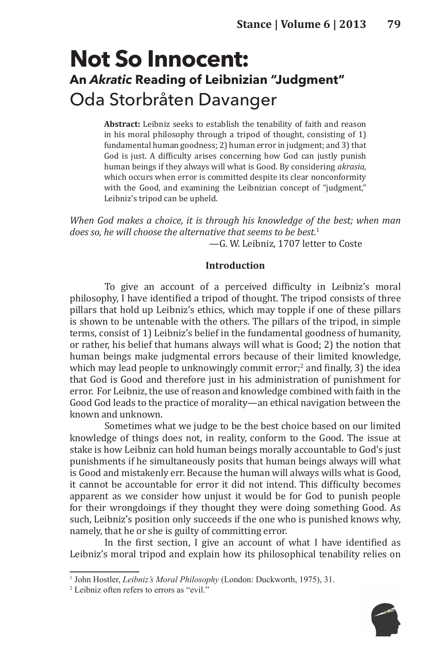# **Not So Innocent: An** *Akratic* **Reading of Leibnizian "Judgment"** Oda Storbråten Davanger

**Abstract:** Leibniz seeks to establish the tenability of faith and reason in his moral philosophy through a tripod of thought, consisting of 1) fundamental human goodness; 2) human error in judgment; and 3) that God is just. A difficulty arises concerning how God can justly punish human beings if they always will what is Good. By considering *akrasia*, which occurs when error is committed despite its clear nonconformity with the Good, and examining the Leibnizian concept of "judgment," Leibniz's tripod can be upheld.

*When God makes a choice, it is through his knowledge of the best; when man does so, he will choose the alternative that seems to be best.*<sup>1</sup> —G. W. Leibniz, 1707 letter to Coste

#### **Introduction**

To give an account of a perceived difficulty in Leibniz's moral philosophy, I have identified a tripod of thought. The tripod consists of three pillars that hold up Leibniz's ethics, which may topple if one of these pillars is shown to be untenable with the others. The pillars of the tripod, in simple terms, consist of 1) Leibniz's belief in the fundamental goodness of humanity, or rather, his belief that humans always will what is Good; 2) the notion that human beings make judgmental errors because of their limited knowledge, which may lead people to unknowingly commit error;<sup>2</sup> and finally, 3) the idea that God is Good and therefore just in his administration of punishment for error. For Leibniz, the use of reason and knowledge combined with faith in the Good God leads to the practice of morality—an ethical navigation between the known and unknown.

Sometimes what we judge to be the best choice based on our limited knowledge of things does not, in reality, conform to the Good. The issue at stake is how Leibniz can hold human beings morally accountable to God's just punishments if he simultaneously posits that human beings always will what is Good and mistakenly err. Because the human will always wills what is Good, it cannot be accountable for error it did not intend. This difficulty becomes apparent as we consider how unjust it would be for God to punish people for their wrongdoings if they thought they were doing something Good. As such, Leibniz's position only succeeds if the one who is punished knows why, namely, that he or she is guilty of committing error.

In the first section, I give an account of what I have identified as Leibniz's moral tripod and explain how its philosophical tenability relies on



<sup>&</sup>lt;sup>1</sup> John Hostler, *Leibniz's Moral Philosophy* (London: Duckworth, 1975), 31.

<sup>2</sup> Leibniz often refers to errors as "evil."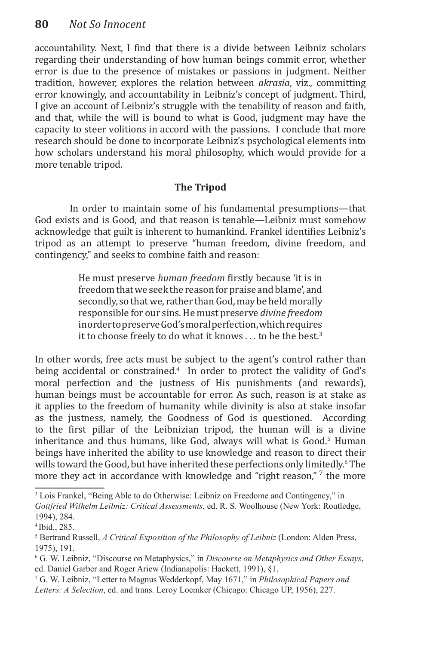accountability. Next, I find that there is a divide between Leibniz scholars regarding their understanding of how human beings commit error, whether error is due to the presence of mistakes or passions in judgment. Neither tradition, however, explores the relation between *akrasia*, viz., committing error knowingly, and accountability in Leibniz's concept of judgment. Third, I give an account of Leibniz's struggle with the tenability of reason and faith, and that, while the will is bound to what is Good, judgment may have the capacity to steer volitions in accord with the passions. I conclude that more research should be done to incorporate Leibniz's psychological elements into how scholars understand his moral philosophy, which would provide for a more tenable tripod.

## **The Tripod**

In order to maintain some of his fundamental presumptions—that God exists and is Good, and that reason is tenable—Leibniz must somehow acknowledge that guilt is inherent to humankind. Frankel identifies Leibniz's tripod as an attempt to preserve "human freedom, divine freedom, and contingency," and seeks to combine faith and reason:

> He must preserve *human freedom* firstly because 'it is in freedom that we seek the reason for praise and blame', and secondly, so that we, rather than God, may be held morally responsible for our sins. He must preserve *divine freedom* in order to preserve God's moral perfection, which requires it to choose freely to do what it knows . . . to be the best.<sup>3</sup>

In other words, free acts must be subject to the agent's control rather than being accidental or constrained.4 In order to protect the validity of God's moral perfection and the justness of His punishments (and rewards), human beings must be accountable for error. As such, reason is at stake as it applies to the freedom of humanity while divinity is also at stake insofar as the justness, namely, the Goodness of God is questioned. According to the first pillar of the Leibnizian tripod, the human will is a divine inheritance and thus humans, like God, always will what is Good.<sup>5</sup> Human beings have inherited the ability to use knowledge and reason to direct their wills toward the Good, but have inherited these perfections only limitedly.<sup>6</sup> The more they act in accordance with knowledge and "right reason,"  $\gamma$  the more

<sup>&</sup>lt;sup>3</sup> Lois Frankel, "Being Able to do Otherwise: Leibniz on Freedome and Contingency," in *Gottfried Wilhelm Leibniz: Critical Assessments*, ed. R. S. Woolhouse (New York: Routledge, 1994), 284.

<sup>4</sup> Ibid., 285.

<sup>5</sup> Bertrand Russell, *A Critical Exposition of the Philosophy of Leibniz* (London: Alden Press, 1975), 191.

<sup>6</sup> G. W. Leibniz, "Discourse on Metaphysics," in *Discourse on Metaphysics and Other Essays*, ed. Daniel Garber and Roger Ariew (Indianapolis: Hackett, 1991), §1.

<sup>7</sup> G. W. Leibniz, "Letter to Magnus Wedderkopf, May 1671," in *Philosophical Papers and Letters: A Selection*, ed. and trans. Leroy Loemker (Chicago: Chicago UP, 1956), 227.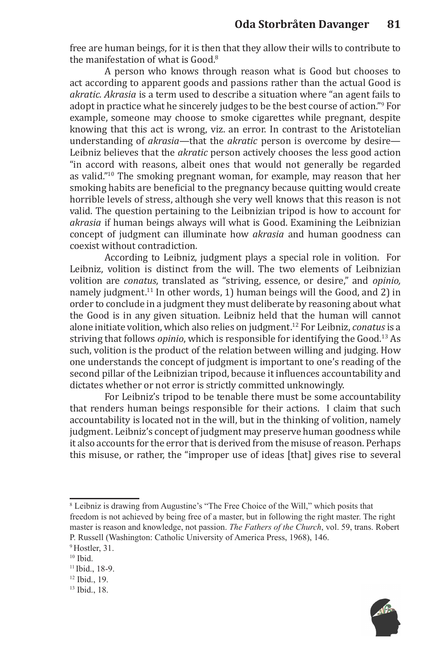free are human beings, for it is then that they allow their wills to contribute to the manifestation of what is Good.<sup>8</sup>

A person who knows through reason what is Good but chooses to act according to apparent goods and passions rather than the actual Good is *akratic. Akrasia* is a term used to describe a situation where "an agent fails to adopt in practice what he sincerely judges to be the best course of action."<sup>9</sup> For example, someone may choose to smoke cigarettes while pregnant, despite knowing that this act is wrong, viz. an error. In contrast to the Aristotelian understanding of *akrasia*—that the *akratic* person is overcome by desire— Leibniz believes that the *akratic* person actively chooses the less good action "in accord with reasons, albeit ones that would not generally be regarded as valid."<sup>10</sup> The smoking pregnant woman, for example, may reason that her smoking habits are beneficial to the pregnancy because quitting would create horrible levels of stress, although she very well knows that this reason is not valid. The question pertaining to the Leibnizian tripod is how to account for *akrasia* if human beings always will what is Good. Examining the Leibnizian concept of judgment can illuminate how *akrasia* and human goodness can coexist without contradiction.

According to Leibniz, judgment plays a special role in volition. For Leibniz, volition is distinct from the will. The two elements of Leibnizian volition are *conatus*, translated as "striving, essence, or desire," and *opinio,* namely judgment.<sup>11</sup> In other words, 1) human beings will the Good, and 2) in order to conclude in a judgment they must deliberate by reasoning about what the Good is in any given situation. Leibniz held that the human will cannot alone initiate volition, which also relies on judgment.12 For Leibniz, *conatus* is a striving that follows *opinio*, which is responsible for identifying the Good.<sup>13</sup> As such, volition is the product of the relation between willing and judging. How one understands the concept of judgment is important to one's reading of the second pillar of the Leibnizian tripod, because it influences accountability and dictates whether or not error is strictly committed unknowingly.

For Leibniz's tripod to be tenable there must be some accountability that renders human beings responsible for their actions. I claim that such accountability is located not in the will, but in the thinking of volition, namely judgment. Leibniz's concept of judgment may preserve human goodness while it also accounts for the error that is derived from the misuse of reason. Perhaps this misuse, or rather, the "improper use of ideas [that] gives rise to several

<sup>&</sup>lt;sup>8</sup> Leibniz is drawing from Augustine's "The Free Choice of the Will," which posits that freedom is not achieved by being free of a master, but in following the right master. The right master is reason and knowledge, not passion. *The Fathers of the Church*, vol. 59, trans. Robert P. Russell (Washington: Catholic University of America Press, 1968), 146.

<sup>9</sup> Hostler, 31.

<sup>&</sup>lt;sup>10</sup> Ibid.

<sup>11</sup> Ibid., 18-9.

<sup>12</sup> Ibid., 19.

<sup>13</sup> Ibid., 18.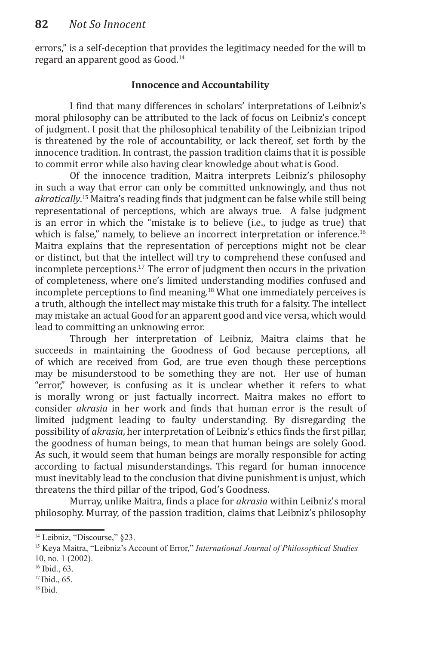errors," is a self-deception that provides the legitimacy needed for the will to regard an apparent good as Good.14

## **Innocence and Accountability**

I find that many differences in scholars' interpretations of Leibniz's moral philosophy can be attributed to the lack of focus on Leibniz's concept of judgment. I posit that the philosophical tenability of the Leibnizian tripod is threatened by the role of accountability, or lack thereof, set forth by the innocence tradition. In contrast, the passion tradition claims that it is possible to commit error while also having clear knowledge about what is Good.

Of the innocence tradition, Maitra interprets Leibniz's philosophy in such a way that error can only be committed unknowingly, and thus not *akratically*. <sup>15</sup> Maitra's reading finds that judgment can be false while still being representational of perceptions, which are always true. A false judgment is an error in which the "mistake is to believe (i.e., to judge as true) that which is false," namely, to believe an incorrect interpretation or inference.<sup>16</sup> Maitra explains that the representation of perceptions might not be clear or distinct, but that the intellect will try to comprehend these confused and incomplete perceptions.<sup>17</sup> The error of judgment then occurs in the privation of completeness, where one's limited understanding modifies confused and incomplete perceptions to find meaning.<sup>18</sup> What one immediately perceives is a truth, although the intellect may mistake this truth for a falsity. The intellect may mistake an actual Good for an apparent good and vice versa, which would lead to committing an unknowing error.

Through her interpretation of Leibniz, Maitra claims that he succeeds in maintaining the Goodness of God because perceptions, all of which are received from God, are true even though these perceptions may be misunderstood to be something they are not. Her use of human "error," however, is confusing as it is unclear whether it refers to what is morally wrong or just factually incorrect. Maitra makes no effort to consider *akrasia* in her work and finds that human error is the result of limited judgment leading to faulty understanding. By disregarding the possibility of *akrasia*, her interpretation of Leibniz's ethics finds the first pillar, the goodness of human beings, to mean that human beings are solely Good. As such, it would seem that human beings are morally responsible for acting according to factual misunderstandings. This regard for human innocence must inevitably lead to the conclusion that divine punishment is unjust, which threatens the third pillar of the tripod, God's Goodness.

Murray, unlike Maitra, finds a place for *akrasia* within Leibniz's moral philosophy. Murray, of the passion tradition, claims that Leibniz's philosophy

17 Ibid., 65.

<sup>&</sup>lt;sup>14</sup> Leibniz, "Discourse," §23.

<sup>15</sup> Keya Maitra, "Leibniz's Account of Error," *International Journal of Philosophical Studies* 10, no. 1 (2002).

<sup>16</sup> Ibid., 63.

<sup>18</sup> Ibid.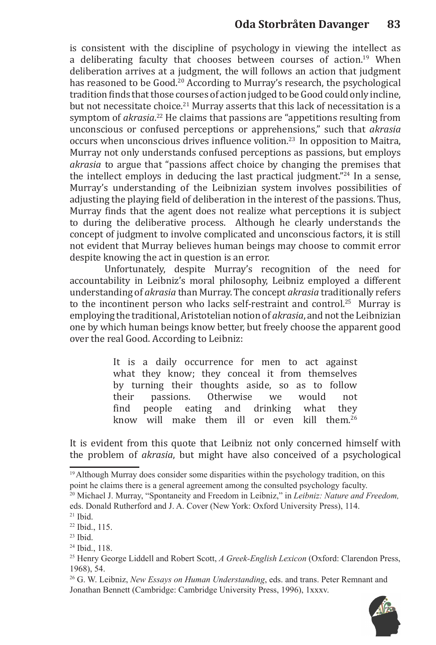is consistent with the discipline of psychology in viewing the intellect as a deliberating faculty that chooses between courses of action.<sup>19</sup> When deliberation arrives at a judgment, the will follows an action that judgment has reasoned to be Good.<sup>20</sup> According to Murray's research, the psychological tradition finds that those courses of action judged to be Good could only incline, but not necessitate choice.<sup>21</sup> Murray asserts that this lack of necessitation is a symptom of *akrasia*. <sup>22</sup> He claims that passions are "appetitions resulting from unconscious or confused perceptions or apprehensions," such that *akrasia* occurs when unconscious drives influence volition.<sup>23</sup> In opposition to Maitra, Murray not only understands confused perceptions as passions, but employs *akrasia* to argue that "passions affect choice by changing the premises that the intellect employs in deducing the last practical judgment."24 In a sense, Murray's understanding of the Leibnizian system involves possibilities of adjusting the playing field of deliberation in the interest of the passions. Thus, Murray finds that the agent does not realize what perceptions it is subject to during the deliberative process. Although he clearly understands the concept of judgment to involve complicated and unconscious factors, it is still not evident that Murray believes human beings may choose to commit error despite knowing the act in question is an error.

Unfortunately, despite Murray's recognition of the need for accountability in Leibniz's moral philosophy, Leibniz employed a different understanding of *akrasia* than Murray. The concept *akrasia* traditionally refers to the incontinent person who lacks self-restraint and control.<sup>25</sup> Murrav is employing the traditional, Aristotelian notion of *akrasia*, and not the Leibnizian one by which human beings know better, but freely choose the apparent good over the real Good. According to Leibniz:

> It is a daily occurrence for men to act against what they know; they conceal it from themselves by turning their thoughts aside, so as to follow<br>their passions. Otherwise we would not their passions. Otherwise we would not<br>find people eating and drinking what they find people eating and drinking what they know will make them ill or even kill them.<sup>26</sup>

It is evident from this quote that Leibniz not only concerned himself with the problem of *akrasia*, but might have also conceived of a psychological

23 Ibid.

<sup>26</sup> G. W. Leibniz, *New Essays on Human Understanding*, eds. and trans. Peter Remnant and Jonathan Bennett (Cambridge: Cambridge University Press, 1996), 1xxxv.



<sup>19</sup> Although Murray does consider some disparities within the psychology tradition, on this point he claims there is a general agreement among the consulted psychology faculty.

<sup>20</sup> Michael J. Murray, "Spontaneity and Freedom in Leibniz," in *Leibniz: Nature and Freedom,* eds. Donald Rutherford and J. A. Cover (New York: Oxford University Press), 114.

 $21$  Ibid.

<sup>22</sup> Ibid., 115.

<sup>24</sup> Ibid., 118.

<sup>25</sup> Henry George Liddell and Robert Scott, *A Greek-English Lexicon* (Oxford: Clarendon Press, 1968), 54.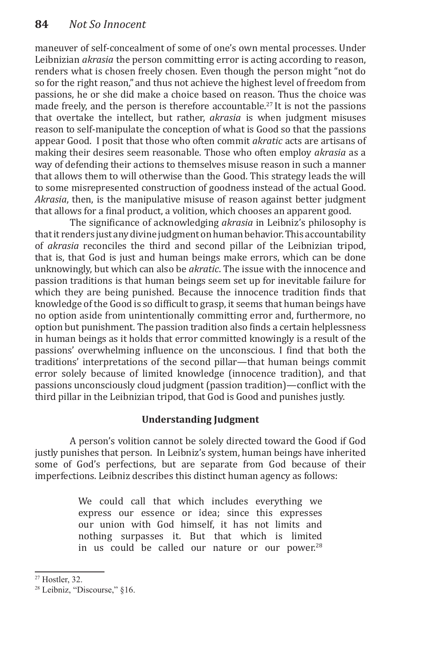maneuver of self-concealment of some of one's own mental processes. Under Leibnizian *akrasia* the person committing error is acting according to reason, renders what is chosen freely chosen. Even though the person might "not do so for the right reason,"and thus not achieve the highest level of freedom from passions, he or she did make a choice based on reason. Thus the choice was made freely, and the person is therefore accountable.<sup>27</sup> It is not the passions that overtake the intellect, but rather, *akrasia* is when judgment misuses reason to self-manipulate the conception of what is Good so that the passions appear Good. I posit that those who often commit *akratic* acts are artisans of making their desires seem reasonable. Those who often employ *akrasia* as a way of defending their actions to themselves misuse reason in such a manner that allows them to will otherwise than the Good. This strategy leads the will to some misrepresented construction of goodness instead of the actual Good. *Akrasia*, then, is the manipulative misuse of reason against better judgment that allows for a final product, a volition, which chooses an apparent good.

The significance of acknowledging *akrasia* in Leibniz's philosophy is that it renders just any divine judgment on human behavior. This accountability of *akrasia* reconciles the third and second pillar of the Leibnizian tripod, that is, that God is just and human beings make errors, which can be done unknowingly, but which can also be *akratic*. The issue with the innocence and passion traditions is that human beings seem set up for inevitable failure for which they are being punished. Because the innocence tradition finds that knowledge of the Good is so difficult to grasp, it seems that human beings have no option aside from unintentionally committing error and, furthermore, no option but punishment. The passion tradition also finds a certain helplessness in human beings as it holds that error committed knowingly is a result of the passions' overwhelming influence on the unconscious. I find that both the traditions' interpretations of the second pillar—that human beings commit error solely because of limited knowledge (innocence tradition), and that passions unconsciously cloud judgment (passion tradition)—conflict with the third pillar in the Leibnizian tripod, that God is Good and punishes justly.

## **Understanding Judgment**

A person's volition cannot be solely directed toward the Good if God justly punishes that person. In Leibniz's system, human beings have inherited some of God's perfections, but are separate from God because of their imperfections. Leibniz describes this distinct human agency as follows:

> We could call that which includes everything we express our essence or idea; since this expresses our union with God himself, it has not limits and nothing surpasses it. But that which is limited in us could be called our nature or our power. $28$

<sup>27</sup> Hostler, 32.

<sup>28</sup> Leibniz, "Discourse," §16.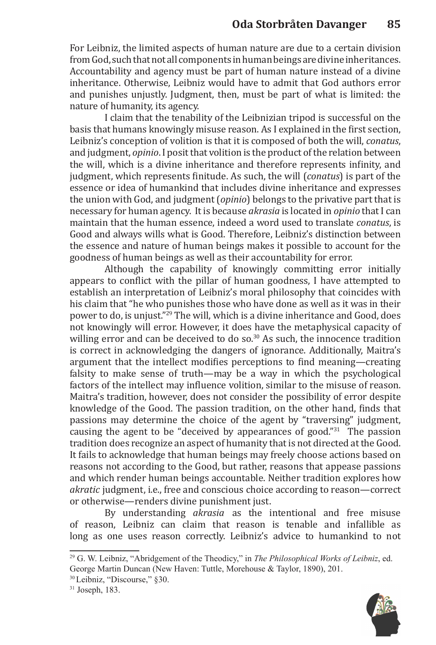For Leibniz, the limited aspects of human nature are due to a certain division from God, such that not all components in human beings are divine inheritances. Accountability and agency must be part of human nature instead of a divine inheritance. Otherwise, Leibniz would have to admit that God authors error and punishes unjustly. Judgment, then, must be part of what is limited: the nature of humanity, its agency.

I claim that the tenability of the Leibnizian tripod is successful on the basis that humans knowingly misuse reason. As I explained in the first section, Leibniz's conception of volition is that it is composed of both the will, *conatus*, and judgment, *opinio*. I posit that volition is the product of the relation between the will, which is a divine inheritance and therefore represents infinity, and judgment, which represents finitude. As such, the will (*conatus*) is part of the essence or idea of humankind that includes divine inheritance and expresses the union with God, and judgment (*opinio*) belongs to the privative part that is necessary for human agency. It is because *akrasia* is located in *opinio* that I can maintain that the human essence, indeed a word used to translate *conatus*, is Good and always wills what is Good. Therefore, Leibniz's distinction between the essence and nature of human beings makes it possible to account for the goodness of human beings as well as their accountability for error.

Although the capability of knowingly committing error initially appears to conflict with the pillar of human goodness, I have attempted to establish an interpretation of Leibniz's moral philosophy that coincides with his claim that "he who punishes those who have done as well as it was in their power to do, is unjust."<sup>29</sup> The will, which is a divine inheritance and Good, does not knowingly will error. However, it does have the metaphysical capacity of willing error and can be deceived to do so. $30$  As such, the innocence tradition is correct in acknowledging the dangers of ignorance. Additionally, Maitra's argument that the intellect modifies perceptions to find meaning—creating falsity to make sense of truth—may be a way in which the psychological factors of the intellect may influence volition, similar to the misuse of reason. Maitra's tradition, however, does not consider the possibility of error despite knowledge of the Good. The passion tradition, on the other hand, finds that passions may determine the choice of the agent by "traversing" judgment, causing the agent to be "deceived by appearances of good."<sup>31</sup> The passion tradition does recognize an aspect of humanity that is not directed at the Good. It fails to acknowledge that human beings may freely choose actions based on reasons not according to the Good, but rather, reasons that appease passions and which render human beings accountable. Neither tradition explores how *akratic* judgment, i.e., free and conscious choice according to reason—correct or otherwise—renders divine punishment just.

By understanding *akrasia* as the intentional and free misuse of reason, Leibniz can claim that reason is tenable and infallible as long as one uses reason correctly. Leibniz's advice to humankind to not



<sup>29</sup> G. W. Leibniz, "Abridgement of the Theodicy," in *The Philosophical Works of Leibniz*, ed. George Martin Duncan (New Haven: Tuttle, Morehouse & Taylor, 1890), 201.

<sup>30</sup> Leibniz, "Discourse," §30.

<sup>31</sup> Joseph, 183.